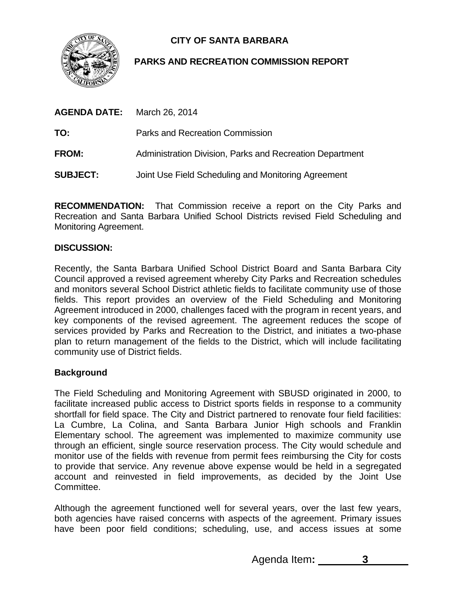

# **CITY OF SANTA BARBARA**

# **PARKS AND RECREATION COMMISSION REPORT**

| <b>AGENDA DATE:</b> | March 26, 2014                                           |
|---------------------|----------------------------------------------------------|
| TO:                 | Parks and Recreation Commission                          |
| <b>FROM:</b>        | Administration Division, Parks and Recreation Department |
| <b>SUBJECT:</b>     | Joint Use Field Scheduling and Monitoring Agreement      |

**RECOMMENDATION:** That Commission receive a report on the City Parks and Recreation and Santa Barbara Unified School Districts revised Field Scheduling and Monitoring Agreement.

## **DISCUSSION:**

Recently, the Santa Barbara Unified School District Board and Santa Barbara City Council approved a revised agreement whereby City Parks and Recreation schedules and monitors several School District athletic fields to facilitate community use of those fields. This report provides an overview of the Field Scheduling and Monitoring Agreement introduced in 2000, challenges faced with the program in recent years, and key components of the revised agreement. The agreement reduces the scope of services provided by Parks and Recreation to the District, and initiates a two-phase plan to return management of the fields to the District, which will include facilitating community use of District fields.

## **Background**

The Field Scheduling and Monitoring Agreement with SBUSD originated in 2000, to facilitate increased public access to District sports fields in response to a community shortfall for field space. The City and District partnered to renovate four field facilities: La Cumbre, La Colina, and Santa Barbara Junior High schools and Franklin Elementary school. The agreement was implemented to maximize community use through an efficient, single source reservation process. The City would schedule and monitor use of the fields with revenue from permit fees reimbursing the City for costs to provide that service. Any revenue above expense would be held in a segregated account and reinvested in field improvements, as decided by the Joint Use Committee.

Although the agreement functioned well for several years, over the last few years, both agencies have raised concerns with aspects of the agreement. Primary issues have been poor field conditions; scheduling, use, and access issues at some

Agenda Item**: 3**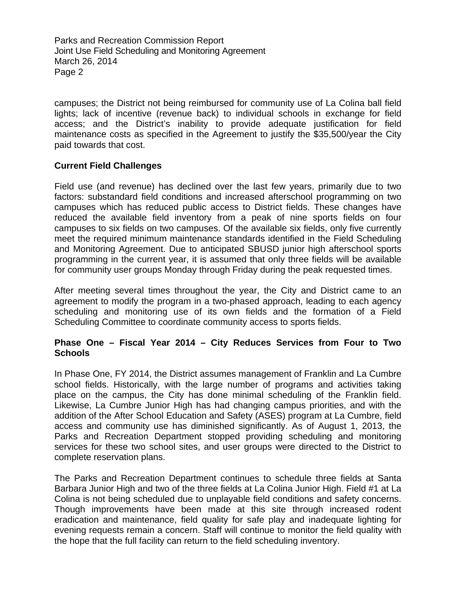Parks and Recreation Commission Report Joint Use Field Scheduling and Monitoring Agreement March 26, 2014 Page 2

campuses; the District not being reimbursed for community use of La Colina ball field lights; lack of incentive (revenue back) to individual schools in exchange for field access; and the District's inability to provide adequate justification for field maintenance costs as specified in the Agreement to justify the \$35,500/year the City paid towards that cost.

#### **Current Field Challenges**

Field use (and revenue) has declined over the last few years, primarily due to two factors: substandard field conditions and increased afterschool programming on two campuses which has reduced public access to District fields. These changes have reduced the available field inventory from a peak of nine sports fields on four campuses to six fields on two campuses. Of the available six fields, only five currently meet the required minimum maintenance standards identified in the Field Scheduling and Monitoring Agreement. Due to anticipated SBUSD junior high afterschool sports programming in the current year, it is assumed that only three fields will be available for community user groups Monday through Friday during the peak requested times.

After meeting several times throughout the year, the City and District came to an agreement to modify the program in a two-phased approach, leading to each agency scheduling and monitoring use of its own fields and the formation of a Field Scheduling Committee to coordinate community access to sports fields.

#### **Phase One – Fiscal Year 2014 – City Reduces Services from Four to Two Schools**

In Phase One, FY 2014, the District assumes management of Franklin and La Cumbre school fields. Historically, with the large number of programs and activities taking place on the campus, the City has done minimal scheduling of the Franklin field. Likewise, La Cumbre Junior High has had changing campus priorities, and with the addition of the After School Education and Safety (ASES) program at La Cumbre, field access and community use has diminished significantly. As of August 1, 2013, the Parks and Recreation Department stopped providing scheduling and monitoring services for these two school sites, and user groups were directed to the District to complete reservation plans.

The Parks and Recreation Department continues to schedule three fields at Santa Barbara Junior High and two of the three fields at La Colina Junior High. Field #1 at La Colina is not being scheduled due to unplayable field conditions and safety concerns. Though improvements have been made at this site through increased rodent eradication and maintenance, field quality for safe play and inadequate lighting for evening requests remain a concern. Staff will continue to monitor the field quality with the hope that the full facility can return to the field scheduling inventory.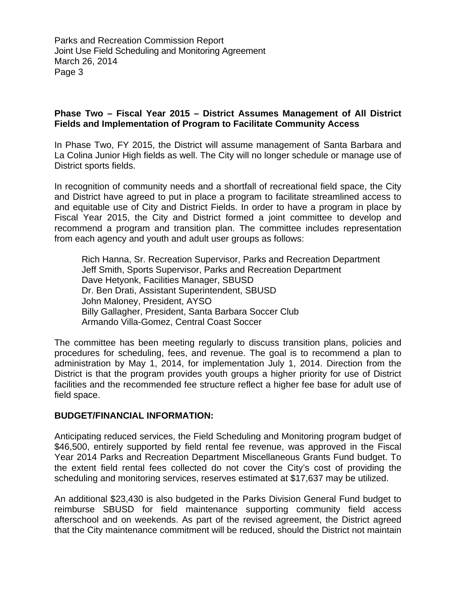Parks and Recreation Commission Report Joint Use Field Scheduling and Monitoring Agreement March 26, 2014 Page 3

#### **Phase Two – Fiscal Year 2015 – District Assumes Management of All District Fields and Implementation of Program to Facilitate Community Access**

In Phase Two, FY 2015, the District will assume management of Santa Barbara and La Colina Junior High fields as well. The City will no longer schedule or manage use of District sports fields.

In recognition of community needs and a shortfall of recreational field space, the City and District have agreed to put in place a program to facilitate streamlined access to and equitable use of City and District Fields. In order to have a program in place by Fiscal Year 2015, the City and District formed a joint committee to develop and recommend a program and transition plan. The committee includes representation from each agency and youth and adult user groups as follows:

Rich Hanna, Sr. Recreation Supervisor, Parks and Recreation Department Jeff Smith, Sports Supervisor, Parks and Recreation Department Dave Hetyonk, Facilities Manager, SBUSD Dr. Ben Drati, Assistant Superintendent, SBUSD John Maloney, President, AYSO Billy Gallagher, President, Santa Barbara Soccer Club Armando Villa-Gomez, Central Coast Soccer

The committee has been meeting regularly to discuss transition plans, policies and procedures for scheduling, fees, and revenue. The goal is to recommend a plan to administration by May 1, 2014, for implementation July 1, 2014. Direction from the District is that the program provides youth groups a higher priority for use of District facilities and the recommended fee structure reflect a higher fee base for adult use of field space.

#### **BUDGET/FINANCIAL INFORMATION:**

Anticipating reduced services, the Field Scheduling and Monitoring program budget of \$46,500, entirely supported by field rental fee revenue, was approved in the Fiscal Year 2014 Parks and Recreation Department Miscellaneous Grants Fund budget. To the extent field rental fees collected do not cover the City's cost of providing the scheduling and monitoring services, reserves estimated at \$17,637 may be utilized.

An additional \$23,430 is also budgeted in the Parks Division General Fund budget to reimburse SBUSD for field maintenance supporting community field access afterschool and on weekends. As part of the revised agreement, the District agreed that the City maintenance commitment will be reduced, should the District not maintain